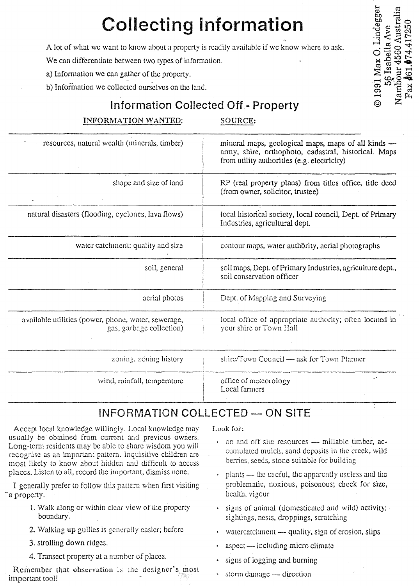# **Collecting Information**

A lot of what we want to know about a property is readily available if we know where to ask.

We can differentiate between two types of information.

- a) Information we can gather of the property.
- b) Information we collected ourselves on the land.

# **Information Collected Off - Property**

## INFORMATION WANTED:

SOURCE:

© 1991 Max O. Lindegger

Nambour 4560 Australia 56 Isabella Ave

| resources, natural wealth (minerals, timber)                                    | mineral maps, geological maps, maps of all kinds -<br>army, shire, orthophoto, cadastral, historical. Maps<br>from utility authorities (e.g. electricity) |
|---------------------------------------------------------------------------------|-----------------------------------------------------------------------------------------------------------------------------------------------------------|
| shape and size of land                                                          | RP (real property plans) from titles office, title deed<br>(from owner, solicitor, trustee)                                                               |
| natural disasters (flooding, cyclones, lava flows)                              | local historical society, local council, Dept. of Primary<br>Industries, agricultural dept.                                                               |
| water catchment: quality and size                                               | contour maps, water authority, acrial photographs                                                                                                         |
| soil, general                                                                   | soil maps, Dept. of Primary Industries, agriculture dept.,<br>soil conservation officer                                                                   |
| aerial photos                                                                   | Dept. of Mapping and Surveying                                                                                                                            |
| available utilities (power, phone, water, sewerage,<br>gas, garbage collection) | local office of appropriate authority; often located in<br>your shire or Town Hall                                                                        |
| zoning, zoning history                                                          | shire/Town Council — ask for Town Planner                                                                                                                 |
| wind, rainfall, temperature                                                     | office of meteorology<br>Local farmers                                                                                                                    |

## **INFORMATION COLLECTED - ON SITE**

Accept local knowledge willingly. Local knowledge may usually be obtained from current and previous owners. Long-term residents may be able to share wisdom you will rccognise as an important pattern. Inquisitive children are most likely to know about hidden and difficult to access places. Listen to all, record the important, dismiss none.

I generally prefer to follow this pattern when first visiting -a property.

- 1. Walk along or within clear view of the property boundary.
- 2. Walking up gullies is generally easier; before
- 3. strolling down ridges.
- 4. Transect property at a number of places .

Remember that observation is the designer's most important tool!

Look for:

- on and off site resources millable timber, accumulated mulch, sand deposits in the creek, wild berries, seeds, stone suitable for building
- $plants$  the useful, the apparently useless and the problematic, noxious, poisonous; cbeck fot size, health, vigour
- signs of animal (domesticated and wild) activity: sightings, nests, droppings, scratching
- watercatchment  $-$  quality, sign of erosion, slips
- $a$ spect  $\longrightarrow$  including micro climate
- signs of logging and burning
- storm damage direction